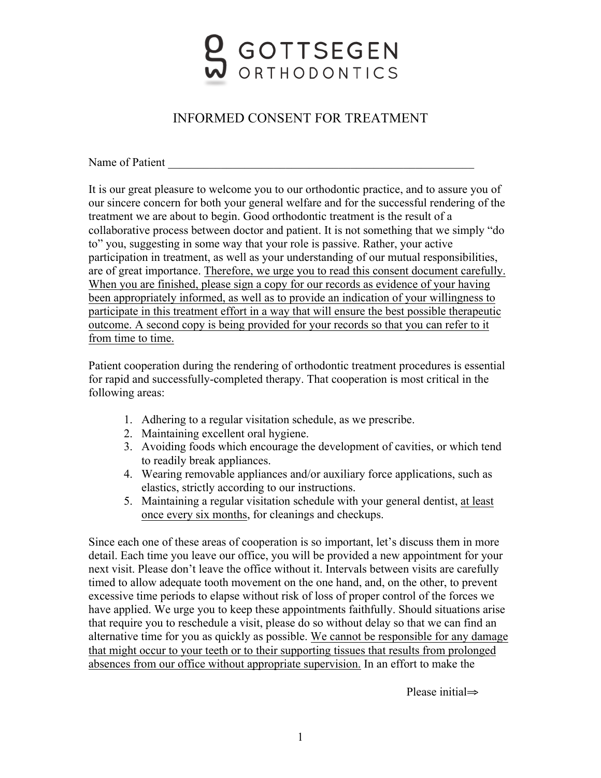

## INFORMED CONSENT FOR TREATMENT

Name of Patient

It is our great pleasure to welcome you to our orthodontic practice, and to assure you of our sincere concern for both your general welfare and for the successful rendering of the treatment we are about to begin. Good orthodontic treatment is the result of a collaborative process between doctor and patient. It is not something that we simply "do to" you, suggesting in some way that your role is passive. Rather, your active participation in treatment, as well as your understanding of our mutual responsibilities, are of great importance. Therefore, we urge you to read this consent document carefully. When you are finished, please sign a copy for our records as evidence of your having been appropriately informed, as well as to provide an indication of your willingness to participate in this treatment effort in a way that will ensure the best possible therapeutic outcome. A second copy is being provided for your records so that you can refer to it from time to time.

Patient cooperation during the rendering of orthodontic treatment procedures is essential for rapid and successfully-completed therapy. That cooperation is most critical in the following areas:

- 1. Adhering to a regular visitation schedule, as we prescribe.
- 2. Maintaining excellent oral hygiene.
- 3. Avoiding foods which encourage the development of cavities, or which tend to readily break appliances.
- 4. Wearing removable appliances and/or auxiliary force applications, such as elastics, strictly according to our instructions.
- 5. Maintaining a regular visitation schedule with your general dentist, at least once every six months, for cleanings and checkups.

Since each one of these areas of cooperation is so important, let's discuss them in more detail. Each time you leave our office, you will be provided a new appointment for your next visit. Please don't leave the office without it. Intervals between visits are carefully timed to allow adequate tooth movement on the one hand, and, on the other, to prevent excessive time periods to elapse without risk of loss of proper control of the forces we have applied. We urge you to keep these appointments faithfully. Should situations arise that require you to reschedule a visit, please do so without delay so that we can find an alternative time for you as quickly as possible. We cannot be responsible for any damage that might occur to your teeth or to their supporting tissues that results from prolonged absences from our office without appropriate supervision. In an effort to make the

Please initial⇒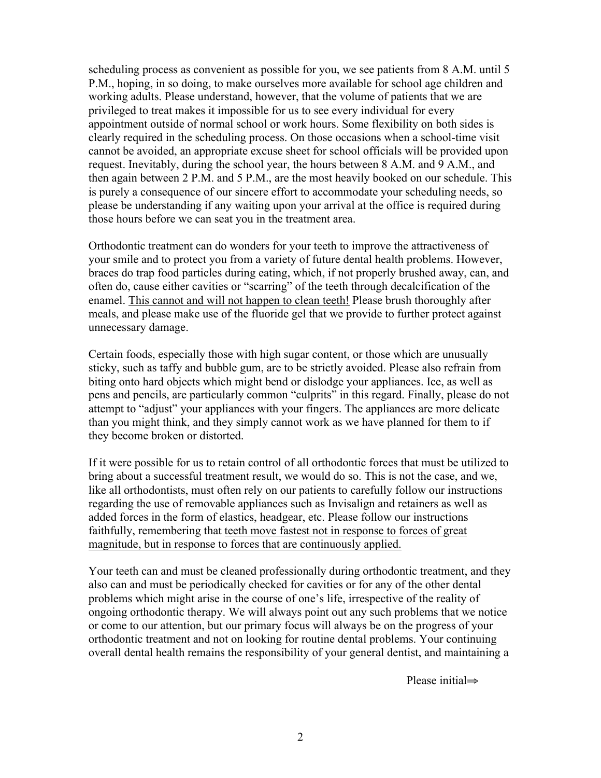scheduling process as convenient as possible for you, we see patients from 8 A.M. until 5 P.M., hoping, in so doing, to make ourselves more available for school age children and working adults. Please understand, however, that the volume of patients that we are privileged to treat makes it impossible for us to see every individual for every appointment outside of normal school or work hours. Some flexibility on both sides is clearly required in the scheduling process. On those occasions when a school-time visit cannot be avoided, an appropriate excuse sheet for school officials will be provided upon request. Inevitably, during the school year, the hours between 8 A.M. and 9 A.M., and then again between 2 P.M. and 5 P.M., are the most heavily booked on our schedule. This is purely a consequence of our sincere effort to accommodate your scheduling needs, so please be understanding if any waiting upon your arrival at the office is required during those hours before we can seat you in the treatment area.

Orthodontic treatment can do wonders for your teeth to improve the attractiveness of your smile and to protect you from a variety of future dental health problems. However, braces do trap food particles during eating, which, if not properly brushed away, can, and often do, cause either cavities or "scarring" of the teeth through decalcification of the enamel. This cannot and will not happen to clean teeth! Please brush thoroughly after meals, and please make use of the fluoride gel that we provide to further protect against unnecessary damage.

Certain foods, especially those with high sugar content, or those which are unusually sticky, such as taffy and bubble gum, are to be strictly avoided. Please also refrain from biting onto hard objects which might bend or dislodge your appliances. Ice, as well as pens and pencils, are particularly common "culprits" in this regard. Finally, please do not attempt to "adjust" your appliances with your fingers. The appliances are more delicate than you might think, and they simply cannot work as we have planned for them to if they become broken or distorted.

If it were possible for us to retain control of all orthodontic forces that must be utilized to bring about a successful treatment result, we would do so. This is not the case, and we, like all orthodontists, must often rely on our patients to carefully follow our instructions regarding the use of removable appliances such as Invisalign and retainers as well as added forces in the form of elastics, headgear, etc. Please follow our instructions faithfully, remembering that teeth move fastest not in response to forces of great magnitude, but in response to forces that are continuously applied.

Your teeth can and must be cleaned professionally during orthodontic treatment, and they also can and must be periodically checked for cavities or for any of the other dental problems which might arise in the course of one's life, irrespective of the reality of ongoing orthodontic therapy. We will always point out any such problems that we notice or come to our attention, but our primary focus will always be on the progress of your orthodontic treatment and not on looking for routine dental problems. Your continuing overall dental health remains the responsibility of your general dentist, and maintaining a

Please initial⇒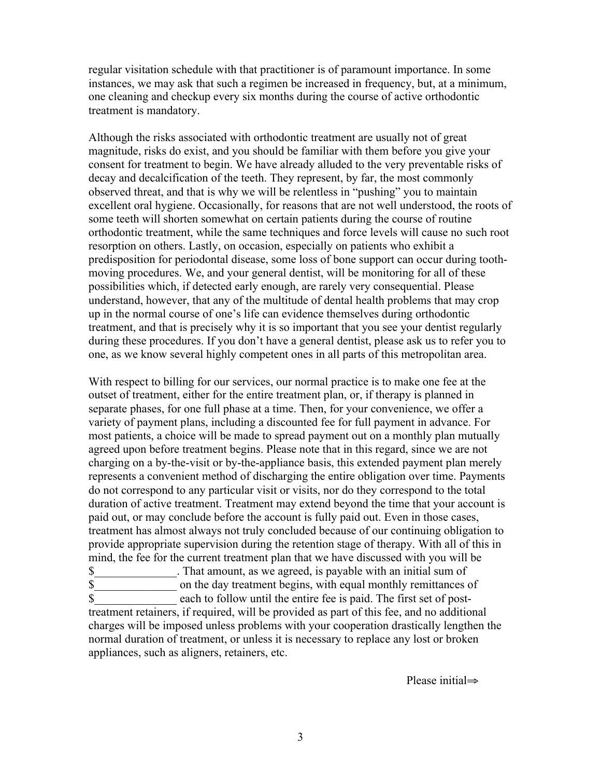regular visitation schedule with that practitioner is of paramount importance. In some instances, we may ask that such a regimen be increased in frequency, but, at a minimum, one cleaning and checkup every six months during the course of active orthodontic treatment is mandatory.

Although the risks associated with orthodontic treatment are usually not of great magnitude, risks do exist, and you should be familiar with them before you give your consent for treatment to begin. We have already alluded to the very preventable risks of decay and decalcification of the teeth. They represent, by far, the most commonly observed threat, and that is why we will be relentless in "pushing" you to maintain excellent oral hygiene. Occasionally, for reasons that are not well understood, the roots of some teeth will shorten somewhat on certain patients during the course of routine orthodontic treatment, while the same techniques and force levels will cause no such root resorption on others. Lastly, on occasion, especially on patients who exhibit a predisposition for periodontal disease, some loss of bone support can occur during toothmoving procedures. We, and your general dentist, will be monitoring for all of these possibilities which, if detected early enough, are rarely very consequential. Please understand, however, that any of the multitude of dental health problems that may crop up in the normal course of one's life can evidence themselves during orthodontic treatment, and that is precisely why it is so important that you see your dentist regularly during these procedures. If you don't have a general dentist, please ask us to refer you to one, as we know several highly competent ones in all parts of this metropolitan area.

With respect to billing for our services, our normal practice is to make one fee at the outset of treatment, either for the entire treatment plan, or, if therapy is planned in separate phases, for one full phase at a time. Then, for your convenience, we offer a variety of payment plans, including a discounted fee for full payment in advance. For most patients, a choice will be made to spread payment out on a monthly plan mutually agreed upon before treatment begins. Please note that in this regard, since we are not charging on a by-the-visit or by-the-appliance basis, this extended payment plan merely represents a convenient method of discharging the entire obligation over time. Payments do not correspond to any particular visit or visits, nor do they correspond to the total duration of active treatment. Treatment may extend beyond the time that your account is paid out, or may conclude before the account is fully paid out. Even in those cases, treatment has almost always not truly concluded because of our continuing obligation to provide appropriate supervision during the retention stage of therapy. With all of this in mind, the fee for the current treatment plan that we have discussed with you will be \$\_\_\_\_\_\_\_\_\_\_\_\_\_\_. That amount, as we agreed, is payable with an initial sum of \$\_\_\_\_\_\_\_\_\_\_\_\_\_\_ on the day treatment begins, with equal monthly remittances of \$\_\_\_\_\_\_\_\_\_\_\_\_\_\_ each to follow until the entire fee is paid. The first set of posttreatment retainers, if required, will be provided as part of this fee, and no additional

charges will be imposed unless problems with your cooperation drastically lengthen the normal duration of treatment, or unless it is necessary to replace any lost or broken appliances, such as aligners, retainers, etc.

Please initial⇒